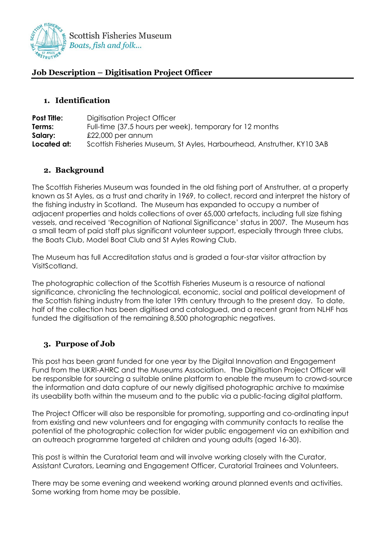

# **Job Description – Digitisation Project Officer**

### **1. Identification**

| <b>Post Title:</b> | Digitisation Project Officer                                           |
|--------------------|------------------------------------------------------------------------|
| Terms:             | Full-time (37.5 hours per week), temporary for 12 months               |
| Salary:            | $£22,000$ per annum                                                    |
| Located at:        | Scottish Fisheries Museum, St Ayles, Harbourhead, Anstruther, KY10 3AB |

# **2. Background**

The Scottish Fisheries Museum was founded in the old fishing port of Anstruther, at a property known as St Ayles, as a trust and charity in 1969, to collect, record and interpret the history of the fishing industry in Scotland. The Museum has expanded to occupy a number of adjacent properties and holds collections of over 65,000 artefacts, including full size fishing vessels, and received 'Recognition of National Significance' status in 2007. The Museum has a small team of paid staff plus significant volunteer support, especially through three clubs, the Boats Club, Model Boat Club and St Ayles Rowing Club.

The Museum has full Accreditation status and is graded a four-star visitor attraction by VisitScotland.

The photographic collection of the Scottish Fisheries Museum is a resource of national significance, chronicling the technological, economic, social and political development of the Scottish fishing industry from the later 19th century through to the present day. To date, half of the collection has been digitised and catalogued, and a recent grant from NLHF has funded the digitisation of the remaining 8,500 photographic negatives.

# **3. Purpose of Job**

This post has been grant funded for one year by the Digital Innovation and Engagement Fund from the UKRI-AHRC and the Museums Association. The Digitisation Project Officer will be responsible for sourcing a suitable online platform to enable the museum to crowd-source the information and data capture of our newly digitised photographic archive to maximise its useability both within the museum and to the public via a public-facing digital platform.

The Project Officer will also be responsible for promoting, supporting and co-ordinating input from existing and new volunteers and for engaging with community contacts to realise the potential of the photographic collection for wider public engagement via an exhibition and an outreach programme targeted at children and young adults (aged 16-30).

This post is within the Curatorial team and will involve working closely with the Curator, Assistant Curators, Learning and Engagement Officer, Curatorial Trainees and Volunteers.

There may be some evening and weekend working around planned events and activities. Some working from home may be possible.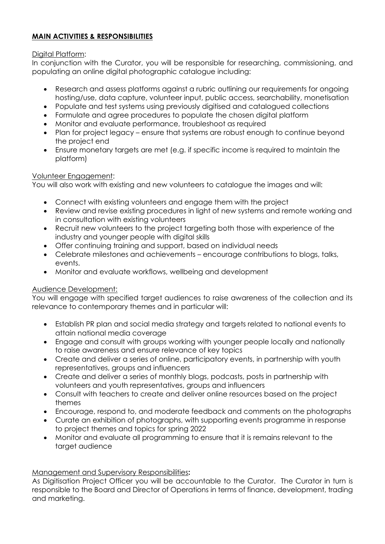# **MAIN ACTIVITIES & RESPONSIBILITIES**

### Digital Platform:

In conjunction with the Curator, you will be responsible for researching, commissioning, and populating an online digital photographic catalogue including:

- Research and assess platforms against a rubric outlining our requirements for ongoing hosting/use, data capture, volunteer input, public access, searchability, monetisation
- Populate and test systems using previously digitised and catalogued collections
- Formulate and agree procedures to populate the chosen digital platform
- Monitor and evaluate performance, troubleshoot as required
- Plan for project legacy ensure that systems are robust enough to continue beyond the project end
- Ensure monetary targets are met (e.g. if specific income is required to maintain the platform)

### Volunteer Engagement:

You will also work with existing and new volunteers to catalogue the images and will:

- Connect with existing volunteers and engage them with the project
- Review and revise existing procedures in light of new systems and remote working and in consultation with existing volunteers
- Recruit new volunteers to the project targeting both those with experience of the industry and younger people with digital skills
- Offer continuing training and support, based on individual needs
- Celebrate milestones and achievements encourage contributions to blogs, talks, events.
- Monitor and evaluate workflows, wellbeing and development

# Audience Development:

You will engage with specified target audiences to raise awareness of the collection and its relevance to contemporary themes and in particular will:

- Establish PR plan and social media strategy and targets related to national events to attain national media coverage
- Engage and consult with groups working with younger people locally and nationally to raise awareness and ensure relevance of key topics
- Create and deliver a series of online, participatory events, in partnership with youth representatives, groups and influencers
- Create and deliver a series of monthly blogs, podcasts, posts in partnership with volunteers and youth representatives, groups and influencers
- Consult with teachers to create and deliver online resources based on the project themes
- Encourage, respond to, and moderate feedback and comments on the photographs
- Curate an exhibition of photographs, with supporting events programme in response to project themes and topics for spring 2022
- Monitor and evaluate all programming to ensure that it is remains relevant to the target audience

### Management and Supervisory Responsibilities**:**

As Digitisation Project Officer you will be accountable to the Curator. The Curator in turn is responsible to the Board and Director of Operations in terms of finance, development, trading and marketing.